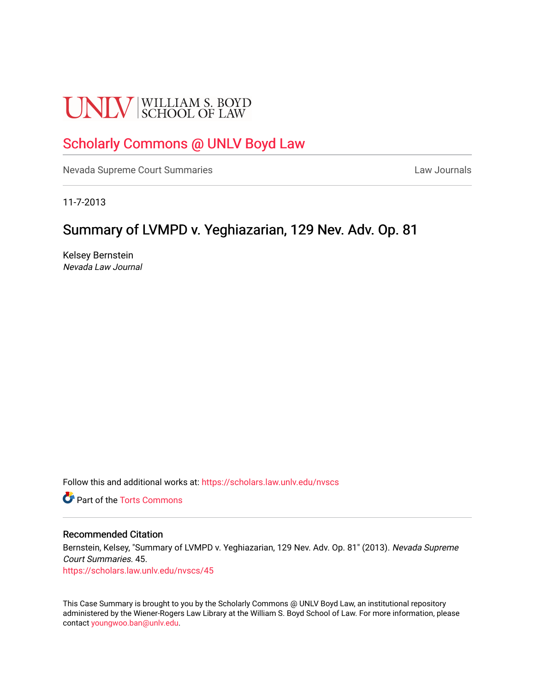# **UNLV** SCHOOL OF LAW

# [Scholarly Commons @ UNLV Boyd Law](https://scholars.law.unlv.edu/)

[Nevada Supreme Court Summaries](https://scholars.law.unlv.edu/nvscs) **Law Journals** Law Journals

11-7-2013

# Summary of LVMPD v. Yeghiazarian, 129 Nev. Adv. Op. 81

Kelsey Bernstein Nevada Law Journal

Follow this and additional works at: [https://scholars.law.unlv.edu/nvscs](https://scholars.law.unlv.edu/nvscs?utm_source=scholars.law.unlv.edu%2Fnvscs%2F45&utm_medium=PDF&utm_campaign=PDFCoverPages)

**C** Part of the [Torts Commons](http://network.bepress.com/hgg/discipline/913?utm_source=scholars.law.unlv.edu%2Fnvscs%2F45&utm_medium=PDF&utm_campaign=PDFCoverPages)

## Recommended Citation

Bernstein, Kelsey, "Summary of LVMPD v. Yeghiazarian, 129 Nev. Adv. Op. 81" (2013). Nevada Supreme Court Summaries. 45.

[https://scholars.law.unlv.edu/nvscs/45](https://scholars.law.unlv.edu/nvscs/45?utm_source=scholars.law.unlv.edu%2Fnvscs%2F45&utm_medium=PDF&utm_campaign=PDFCoverPages) 

This Case Summary is brought to you by the Scholarly Commons @ UNLV Boyd Law, an institutional repository administered by the Wiener-Rogers Law Library at the William S. Boyd School of Law. For more information, please contact [youngwoo.ban@unlv.edu](mailto:youngwoo.ban@unlv.edu).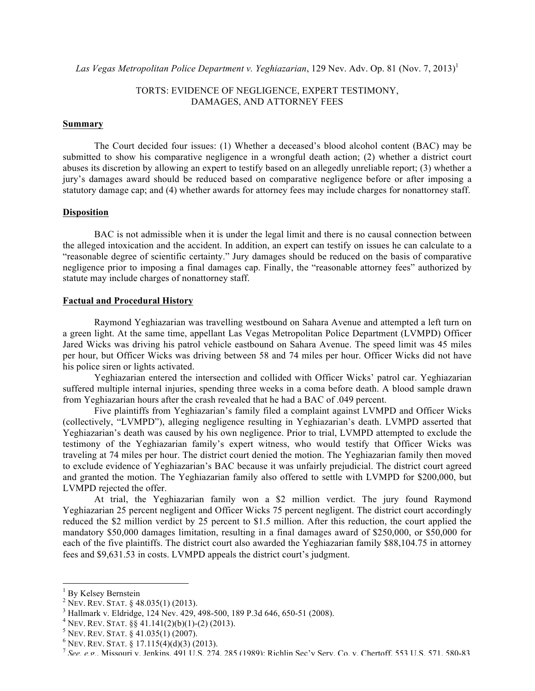Las Vegas Metropolitan Police Department v. Yeghiazarian, 129 Nev. Adv. Op. 81 (Nov. 7, 2013)<sup>1</sup>

## TORTS: EVIDENCE OF NEGLIGENCE, EXPERT TESTIMONY, DAMAGES, AND ATTORNEY FEES

#### **Summary**

The Court decided four issues: (1) Whether a deceased's blood alcohol content (BAC) may be submitted to show his comparative negligence in a wrongful death action; (2) whether a district court abuses its discretion by allowing an expert to testify based on an allegedly unreliable report; (3) whether a jury's damages award should be reduced based on comparative negligence before or after imposing a statutory damage cap; and (4) whether awards for attorney fees may include charges for nonattorney staff.

#### **Disposition**

BAC is not admissible when it is under the legal limit and there is no causal connection between the alleged intoxication and the accident. In addition, an expert can testify on issues he can calculate to a "reasonable degree of scientific certainty." Jury damages should be reduced on the basis of comparative negligence prior to imposing a final damages cap. Finally, the "reasonable attorney fees" authorized by statute may include charges of nonattorney staff.

#### **Factual and Procedural History**

Raymond Yeghiazarian was travelling westbound on Sahara Avenue and attempted a left turn on a green light. At the same time, appellant Las Vegas Metropolitan Police Department (LVMPD) Officer Jared Wicks was driving his patrol vehicle eastbound on Sahara Avenue. The speed limit was 45 miles per hour, but Officer Wicks was driving between 58 and 74 miles per hour. Officer Wicks did not have his police siren or lights activated.

Yeghiazarian entered the intersection and collided with Officer Wicks' patrol car. Yeghiazarian suffered multiple internal injuries, spending three weeks in a coma before death. A blood sample drawn from Yeghiazarian hours after the crash revealed that he had a BAC of .049 percent.

Five plaintiffs from Yeghiazarian's family filed a complaint against LVMPD and Officer Wicks (collectively, "LVMPD"), alleging negligence resulting in Yeghiazarian's death. LVMPD asserted that Yeghiazarian's death was caused by his own negligence. Prior to trial, LVMPD attempted to exclude the testimony of the Yeghiazarian family's expert witness, who would testify that Officer Wicks was traveling at 74 miles per hour. The district court denied the motion. The Yeghiazarian family then moved to exclude evidence of Yeghiazarian's BAC because it was unfairly prejudicial. The district court agreed and granted the motion. The Yeghiazarian family also offered to settle with LVMPD for \$200,000, but LVMPD rejected the offer.

At trial, the Yeghiazarian family won a \$2 million verdict. The jury found Raymond Yeghiazarian 25 percent negligent and Officer Wicks 75 percent negligent. The district court accordingly reduced the \$2 million verdict by 25 percent to \$1.5 million. After this reduction, the court applied the mandatory \$50,000 damages limitation, resulting in a final damages award of \$250,000, or \$50,000 for each of the five plaintiffs. The district court also awarded the Yeghiazarian family \$88,104.75 in attorney fees and \$9,631.53 in costs. LVMPD appeals the district court's judgment.

<u> 1989 - Jan Samuel Barbara, político establecido de la provincia de la provincia de la provincia de la provinci</u>

<sup>&</sup>lt;sup>1</sup> By Kelsey Bernstein<br><sup>2</sup> NEV. REV. STAT. § 48.035(1) (2013).

<sup>&</sup>lt;sup>3</sup> Hallmark v. Eldridge, 124 Nev. 429, 498-500, 189 P.3d 646, 650-51 (2008).<br>
<sup>4</sup> NEV. REV. STAT. §§ 41.141(2)(b)(1)-(2) (2013).<br>
<sup>5</sup> NEV. REV. STAT. § 41.035(1) (2007).<br>
<sup>6</sup> NEV. REV. STAT. § 17.115(4)(d)(3) (2013).<br>
<sup>7</sup>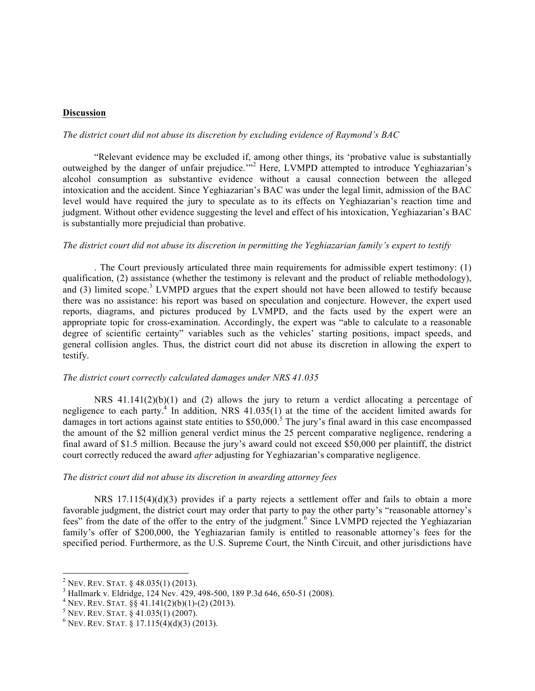#### **Discussion**

# *The district court did not abuse its discretion by excluding evidence of Raymond's BAC*

"Relevant evidence may be excluded if, among other things, its 'probative value is substantially outweighed by the danger of unfair prejudice."<sup>2</sup> Here, LVMPD attempted to introduce Yeghiazarian's alcohol consumption as substantive evidence without a causal connection between the alleged intoxication and the accident. Since Yeghiazarian's BAC was under the legal limit, admission of the BAC level would have required the jury to speculate as to its effects on Yeghiazarian's reaction time and judgment. Without other evidence suggesting the level and effect of his intoxication, Yeghiazarian's BAC is substantially more prejudicial than probative.

#### *The district court did not abuse its discretion in permitting the Yeghiazarian family's expert to testify*

. The Court previously articulated three main requirements for admissible expert testimony: (1) qualification, (2) assistance (whether the testimony is relevant and the product of reliable methodology), and (3) limited scope.<sup>3</sup> LVMPD argues that the expert should not have been allowed to testify because there was no assistance: his report was based on speculation and conjecture. However, the expert used reports, diagrams, and pictures produced by LVMPD, and the facts used by the expert were an appropriate topic for cross-examination. Accordingly, the expert was "able to calculate to a reasonable degree of scientific certainty" variables such as the vehicles' starting positions, impact speeds, and general collision angles. Thus, the district court did not abuse its discretion in allowing the expert to testify.

#### *The district court correctly calculated damages under NRS 41.035*

NRS 41.141(2)(b)(1) and (2) allows the jury to return a verdict allocating a percentage of negligence to each party.<sup>4</sup> In addition, NRS  $41.035(1)$  at the time of the accident limited awards for damages in tort actions against state entities to \$50,000.<sup>5</sup> The jury's final award in this case encompassed the amount of the \$2 million general verdict minus the 25 percent comparative negligence, rendering a final award of \$1.5 million. Because the jury's award could not exceed \$50,000 per plaintiff, the district court correctly reduced the award *after* adjusting for Yeghiazarian's comparative negligence.

#### *The district court did not abuse its discretion in awarding attorney fees*

NRS 17.115(4)(d)(3) provides if a party rejects a settlement offer and fails to obtain a more favorable judgment, the district court may order that party to pay the other party's "reasonable attorney's fees" from the date of the offer to the entry of the judgment.<sup>6</sup> Since LVMPD rejected the Yeghiazarian family's offer of \$200,000, the Yeghiazarian family is entitled to reasonable attorney's fees for the specified period. Furthermore, as the U.S. Supreme Court, the Ninth Circuit, and other jurisdictions have

<sup>&</sup>lt;u> 1989 - Jan Samuel Barbara, político establecido de la provincia de la provincia de la provincia de la provinci</u>

<sup>&</sup>lt;sup>2</sup> NEV. REV. STAT. § 48.035(1) (2013).<br><sup>3</sup> Hallmark v. Eldridge, 124 Nev. 429, 498-500, 189 P.3d 646, 650-51 (2008).<br><sup>4</sup> NEV. REV. STAT. §§ 41.141(2)(b)(1)-(2) (2013).<br><sup>5</sup> NEV. REV. STAT. § 41.035(1) (2007).<br><sup>6</sup> NEV. REV